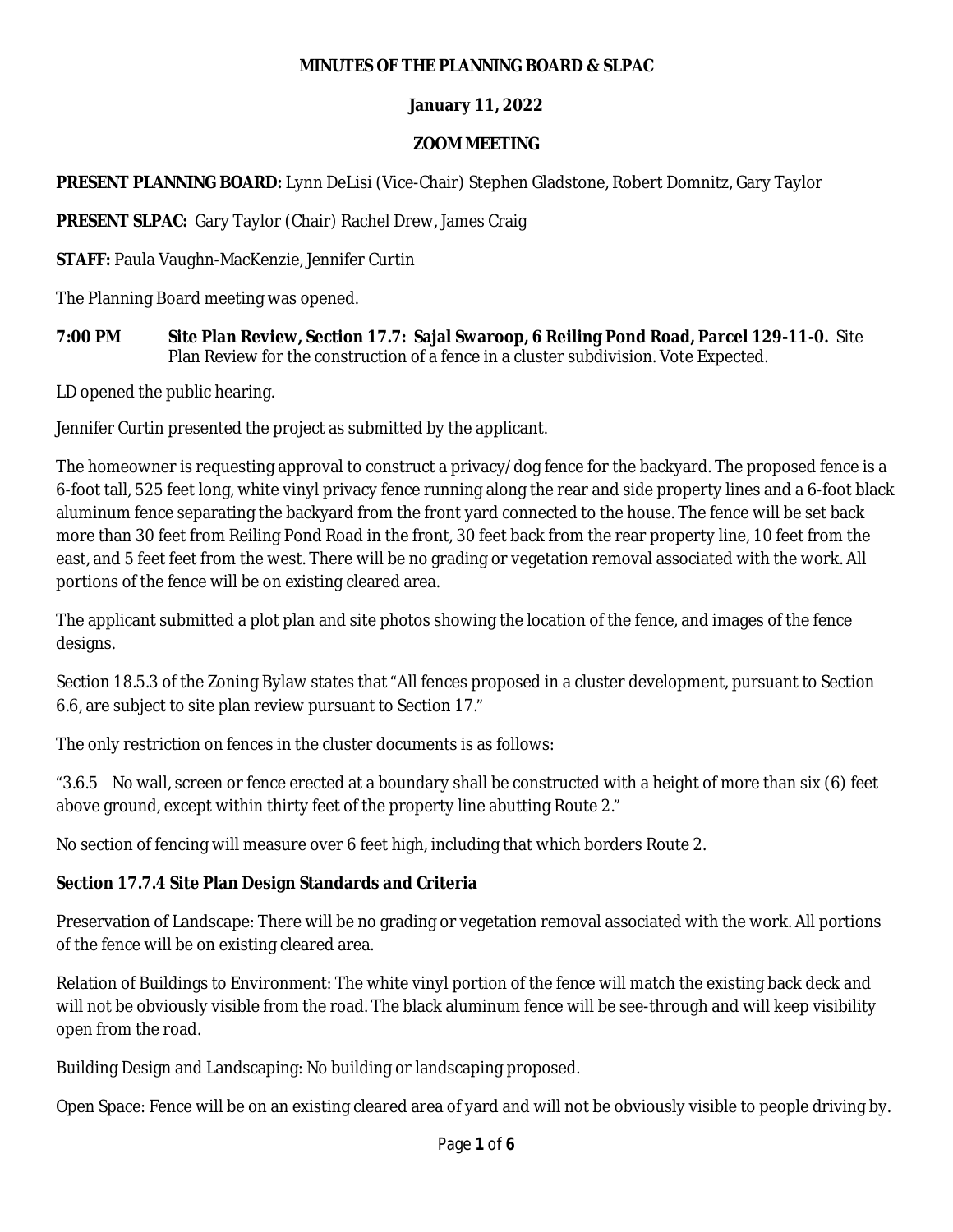#### **MINUTES OF THE PLANNING BOARD & SLPAC**

### **January 11, 2022**

#### **ZOOM MEETING**

**PRESENT PLANNING BOARD:** Lynn DeLisi (Vice-Chair) Stephen Gladstone, Robert Domnitz, Gary Taylor

**PRESENT SLPAC:** Gary Taylor (Chair) Rachel Drew, James Craig

**STAFF:** Paula Vaughn-MacKenzie, Jennifer Curtin

The Planning Board meeting was opened.

**7:00 PM Site Plan Review, Section 17.7: Sajal Swaroop, 6 Reiling Pond Road, Parcel 129-11-0.** Site Plan Review for the construction of a fence in a cluster subdivision. Vote Expected.

LD opened the public hearing.

Jennifer Curtin presented the project as submitted by the applicant.

The homeowner is requesting approval to construct a privacy/dog fence for the backyard. The proposed fence is a 6-foot tall, 525 feet long, white vinyl privacy fence running along the rear and side property lines and a 6-foot black aluminum fence separating the backyard from the front yard connected to the house. The fence will be set back more than 30 feet from Reiling Pond Road in the front, 30 feet back from the rear property line, 10 feet from the east, and 5 feet feet from the west. There will be no grading or vegetation removal associated with the work. All portions of the fence will be on existing cleared area.

The applicant submitted a plot plan and site photos showing the location of the fence, and images of the fence designs.

Section 18.5.3 of the Zoning Bylaw states that "All fences proposed in a cluster development, pursuant to Section 6.6, are subject to site plan review pursuant to Section 17."

The only restriction on fences in the cluster documents is as follows:

"3.6.5 No wall, screen or fence erected at a boundary shall be constructed with a height of more than six (6) feet above ground, except within thirty feet of the property line abutting Route 2."

No section of fencing will measure over 6 feet high, including that which borders Route 2.

## **Section 17.7.4 Site Plan Design Standards and Criteria**

Preservation of Landscape: There will be no grading or vegetation removal associated with the work. All portions of the fence will be on existing cleared area.

Relation of Buildings to Environment: The white vinyl portion of the fence will match the existing back deck and will not be obviously visible from the road. The black aluminum fence will be see-through and will keep visibility open from the road.

Building Design and Landscaping: No building or landscaping proposed.

Open Space: Fence will be on an existing cleared area of yard and will not be obviously visible to people driving by.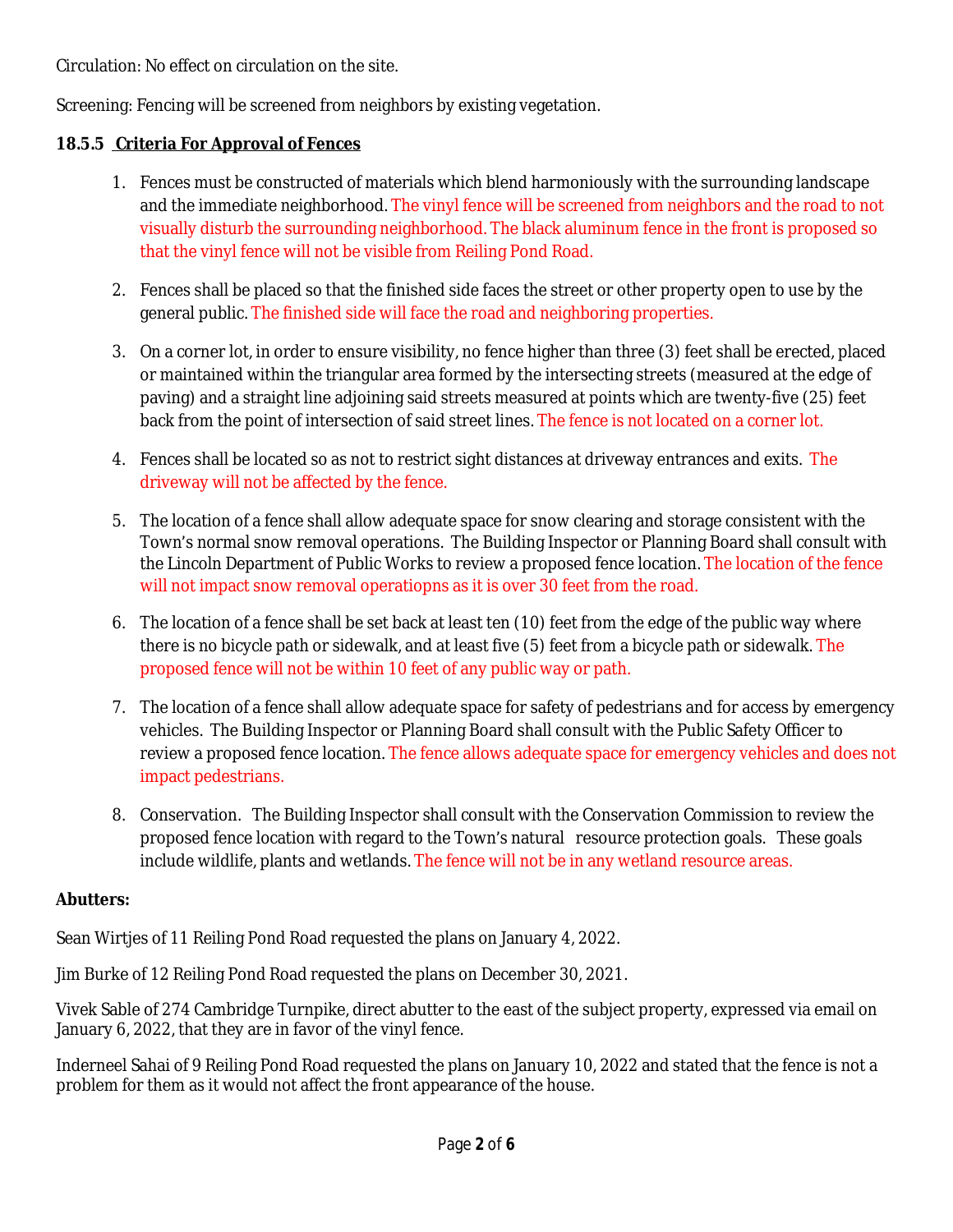Circulation: No effect on circulation on the site.

Screening: Fencing will be screened from neighbors by existing vegetation.

# **18.5.5 Criteria For Approval of Fences**

- 1. Fences must be constructed of materials which blend harmoniously with the surrounding landscape and the immediate neighborhood. The vinyl fence will be screened from neighbors and the road to not visually disturb the surrounding neighborhood. The black aluminum fence in the front is proposed so that the vinyl fence will not be visible from Reiling Pond Road.
- 2. Fences shall be placed so that the finished side faces the street or other property open to use by the general public. The finished side will face the road and neighboring properties.
- 3. On a corner lot, in order to ensure visibility, no fence higher than three (3) feet shall be erected, placed or maintained within the triangular area formed by the intersecting streets (measured at the edge of paving) and a straight line adjoining said streets measured at points which are twenty-five (25) feet back from the point of intersection of said street lines. The fence is not located on a corner lot.
- 4. Fences shall be located so as not to restrict sight distances at driveway entrances and exits. The driveway will not be affected by the fence.
- 5. The location of a fence shall allow adequate space for snow clearing and storage consistent with the Town's normal snow removal operations. The Building Inspector or Planning Board shall consult with the Lincoln Department of Public Works to review a proposed fence location. The location of the fence will not impact snow removal operatiopns as it is over 30 feet from the road.
- 6. The location of a fence shall be set back at least ten (10) feet from the edge of the public way where there is no bicycle path or sidewalk, and at least five (5) feet from a bicycle path or sidewalk. The proposed fence will not be within 10 feet of any public way or path.
- 7. The location of a fence shall allow adequate space for safety of pedestrians and for access by emergency vehicles. The Building Inspector or Planning Board shall consult with the Public Safety Officer to review a proposed fence location. The fence allows adequate space for emergency vehicles and does not impact pedestrians.
- 8. Conservation. The Building Inspector shall consult with the Conservation Commission to review the proposed fence location with regard to the Town's natural resource protection goals. These goals include wildlife, plants and wetlands. The fence will not be in any wetland resource areas.

## **Abutters:**

Sean Wirtjes of 11 Reiling Pond Road requested the plans on January 4, 2022.

Jim Burke of 12 Reiling Pond Road requested the plans on December 30, 2021.

Vivek Sable of 274 Cambridge Turnpike, direct abutter to the east of the subject property, expressed via email on January 6, 2022, that they are in favor of the vinyl fence.

Inderneel Sahai of 9 Reiling Pond Road requested the plans on January 10, 2022 and stated that the fence is not a problem for them as it would not affect the front appearance of the house.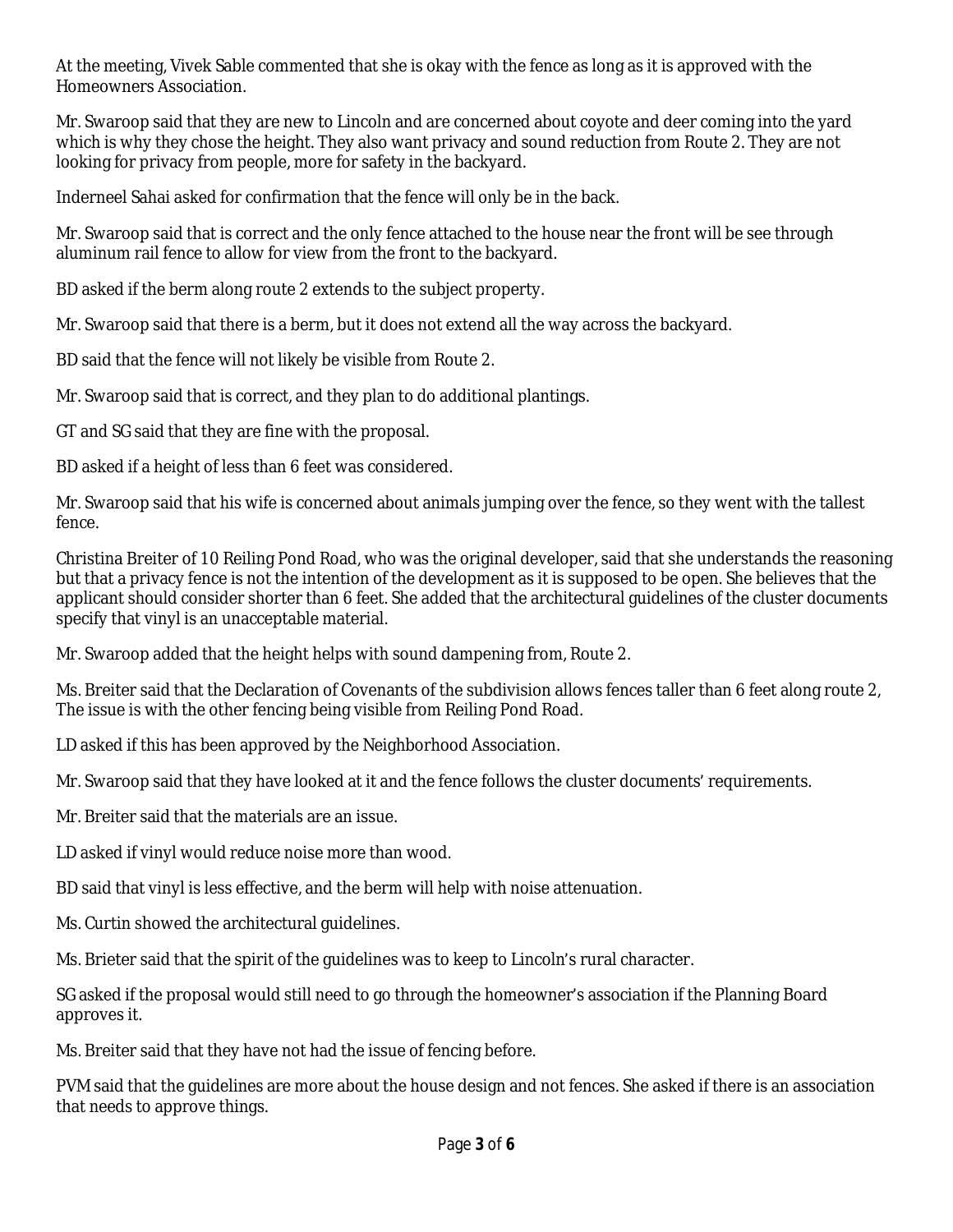At the meeting, Vivek Sable commented that she is okay with the fence as long as it is approved with the Homeowners Association.

Mr. Swaroop said that they are new to Lincoln and are concerned about coyote and deer coming into the yard which is why they chose the height. They also want privacy and sound reduction from Route 2. They are not looking for privacy from people, more for safety in the backyard.

Inderneel Sahai asked for confirmation that the fence will only be in the back.

Mr. Swaroop said that is correct and the only fence attached to the house near the front will be see through aluminum rail fence to allow for view from the front to the backyard.

BD asked if the berm along route 2 extends to the subject property.

Mr. Swaroop said that there is a berm, but it does not extend all the way across the backyard.

BD said that the fence will not likely be visible from Route 2.

Mr. Swaroop said that is correct, and they plan to do additional plantings.

GT and SG said that they are fine with the proposal.

BD asked if a height of less than 6 feet was considered.

Mr. Swaroop said that his wife is concerned about animals jumping over the fence, so they went with the tallest fence.

Christina Breiter of 10 Reiling Pond Road, who was the original developer, said that she understands the reasoning but that a privacy fence is not the intention of the development as it is supposed to be open. She believes that the applicant should consider shorter than 6 feet. She added that the architectural guidelines of the cluster documents specify that vinyl is an unacceptable material.

Mr. Swaroop added that the height helps with sound dampening from, Route 2.

Ms. Breiter said that the Declaration of Covenants of the subdivision allows fences taller than 6 feet along route 2, The issue is with the other fencing being visible from Reiling Pond Road.

LD asked if this has been approved by the Neighborhood Association.

Mr. Swaroop said that they have looked at it and the fence follows the cluster documents' requirements.

Mr. Breiter said that the materials are an issue.

LD asked if vinyl would reduce noise more than wood.

BD said that vinyl is less effective, and the berm will help with noise attenuation.

Ms. Curtin showed the architectural guidelines.

Ms. Brieter said that the spirit of the guidelines was to keep to Lincoln's rural character.

SG asked if the proposal would still need to go through the homeowner's association if the Planning Board approves it.

Ms. Breiter said that they have not had the issue of fencing before.

PVM said that the guidelines are more about the house design and not fences. She asked if there is an association that needs to approve things.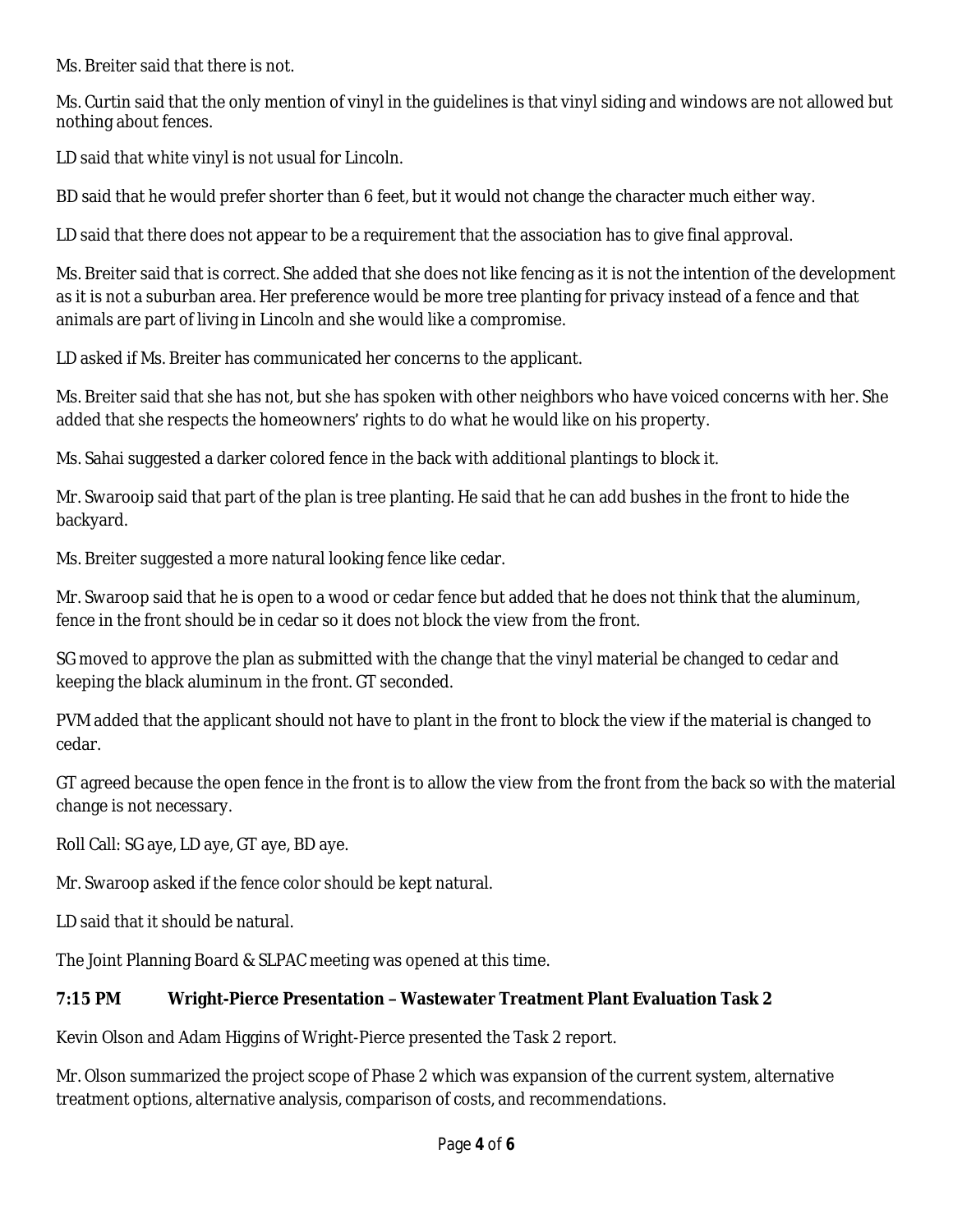Ms. Breiter said that there is not.

Ms. Curtin said that the only mention of vinyl in the guidelines is that vinyl siding and windows are not allowed but nothing about fences.

LD said that white vinyl is not usual for Lincoln.

BD said that he would prefer shorter than 6 feet, but it would not change the character much either way.

LD said that there does not appear to be a requirement that the association has to give final approval.

Ms. Breiter said that is correct. She added that she does not like fencing as it is not the intention of the development as it is not a suburban area. Her preference would be more tree planting for privacy instead of a fence and that animals are part of living in Lincoln and she would like a compromise.

LD asked if Ms. Breiter has communicated her concerns to the applicant.

Ms. Breiter said that she has not, but she has spoken with other neighbors who have voiced concerns with her. She added that she respects the homeowners' rights to do what he would like on his property.

Ms. Sahai suggested a darker colored fence in the back with additional plantings to block it.

Mr. Swarooip said that part of the plan is tree planting. He said that he can add bushes in the front to hide the backyard.

Ms. Breiter suggested a more natural looking fence like cedar.

Mr. Swaroop said that he is open to a wood or cedar fence but added that he does not think that the aluminum, fence in the front should be in cedar so it does not block the view from the front.

SG moved to approve the plan as submitted with the change that the vinyl material be changed to cedar and keeping the black aluminum in the front. GT seconded.

PVM added that the applicant should not have to plant in the front to block the view if the material is changed to cedar.

GT agreed because the open fence in the front is to allow the view from the front from the back so with the material change is not necessary.

Roll Call: SG aye, LD aye, GT aye, BD aye.

Mr. Swaroop asked if the fence color should be kept natural.

LD said that it should be natural.

The Joint Planning Board & SLPAC meeting was opened at this time.

## **7:15 PM Wright-Pierce Presentation – Wastewater Treatment Plant Evaluation Task 2**

Kevin Olson and Adam Higgins of Wright-Pierce presented the Task 2 report.

Mr. Olson summarized the project scope of Phase 2 which was expansion of the current system, alternative treatment options, alternative analysis, comparison of costs, and recommendations.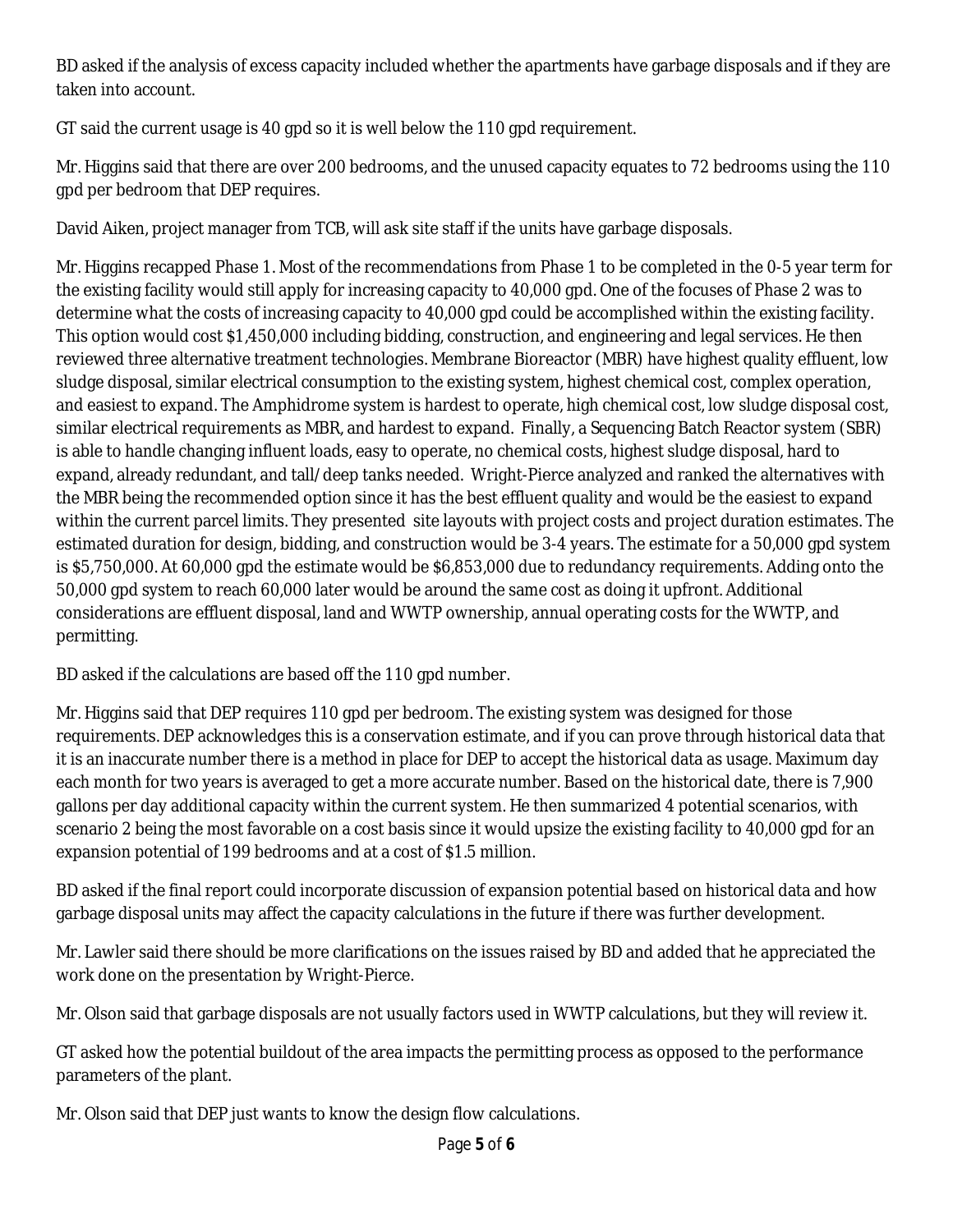BD asked if the analysis of excess capacity included whether the apartments have garbage disposals and if they are taken into account.

GT said the current usage is 40 gpd so it is well below the 110 gpd requirement.

Mr. Higgins said that there are over 200 bedrooms, and the unused capacity equates to 72 bedrooms using the 110 gpd per bedroom that DEP requires.

David Aiken, project manager from TCB, will ask site staff if the units have garbage disposals.

Mr. Higgins recapped Phase 1. Most of the recommendations from Phase 1 to be completed in the 0-5 year term for the existing facility would still apply for increasing capacity to 40,000 gpd. One of the focuses of Phase 2 was to determine what the costs of increasing capacity to 40,000 gpd could be accomplished within the existing facility. This option would cost \$1,450,000 including bidding, construction, and engineering and legal services. He then reviewed three alternative treatment technologies. Membrane Bioreactor (MBR) have highest quality effluent, low sludge disposal, similar electrical consumption to the existing system, highest chemical cost, complex operation, and easiest to expand. The Amphidrome system is hardest to operate, high chemical cost, low sludge disposal cost, similar electrical requirements as MBR, and hardest to expand. Finally, a Sequencing Batch Reactor system (SBR) is able to handle changing influent loads, easy to operate, no chemical costs, highest sludge disposal, hard to expand, already redundant, and tall/deep tanks needed. Wright-Pierce analyzed and ranked the alternatives with the MBR being the recommended option since it has the best effluent quality and would be the easiest to expand within the current parcel limits. They presented site layouts with project costs and project duration estimates. The estimated duration for design, bidding, and construction would be 3-4 years. The estimate for a 50,000 gpd system is \$5,750,000. At 60,000 gpd the estimate would be \$6,853,000 due to redundancy requirements. Adding onto the 50,000 gpd system to reach 60,000 later would be around the same cost as doing it upfront. Additional considerations are effluent disposal, land and WWTP ownership, annual operating costs for the WWTP, and permitting.

BD asked if the calculations are based off the 110 gpd number.

Mr. Higgins said that DEP requires 110 gpd per bedroom. The existing system was designed for those requirements. DEP acknowledges this is a conservation estimate, and if you can prove through historical data that it is an inaccurate number there is a method in place for DEP to accept the historical data as usage. Maximum day each month for two years is averaged to get a more accurate number. Based on the historical date, there is 7,900 gallons per day additional capacity within the current system. He then summarized 4 potential scenarios, with scenario 2 being the most favorable on a cost basis since it would upsize the existing facility to 40,000 gpd for an expansion potential of 199 bedrooms and at a cost of \$1.5 million.

BD asked if the final report could incorporate discussion of expansion potential based on historical data and how garbage disposal units may affect the capacity calculations in the future if there was further development.

Mr. Lawler said there should be more clarifications on the issues raised by BD and added that he appreciated the work done on the presentation by Wright-Pierce.

Mr. Olson said that garbage disposals are not usually factors used in WWTP calculations, but they will review it.

GT asked how the potential buildout of the area impacts the permitting process as opposed to the performance parameters of the plant.

Mr. Olson said that DEP just wants to know the design flow calculations.